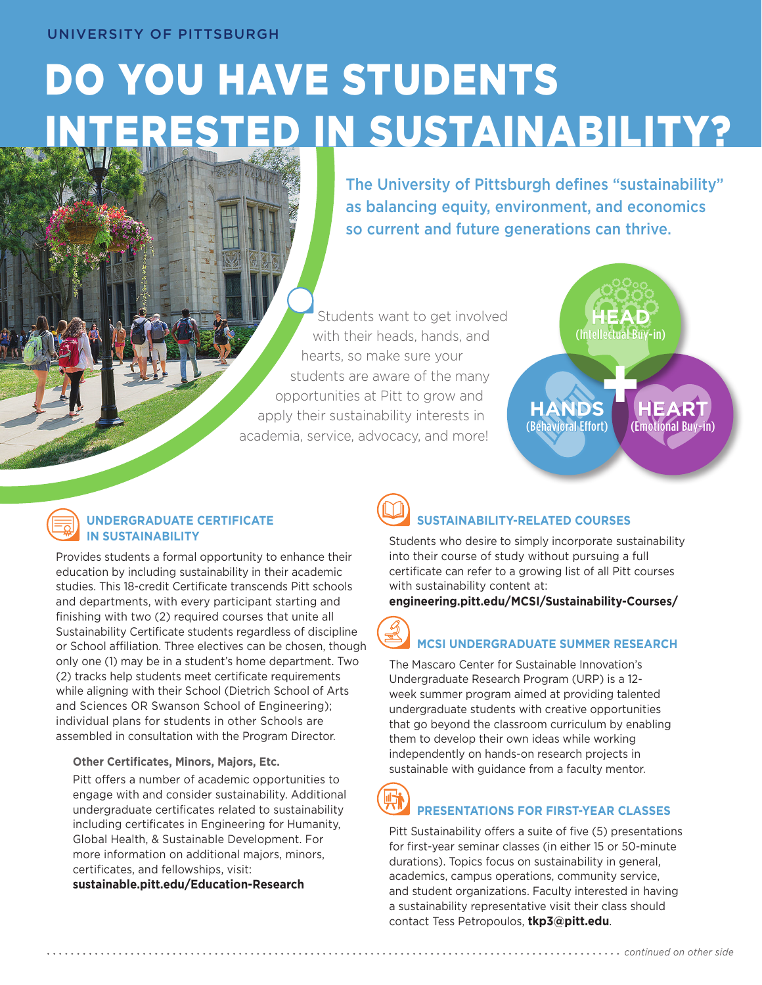# DO YOU HAVE STUDENTS ED IN SUSTAINABILITY?

The University of Pittsburgh defines "sustainability" as balancing equity, environment, and economics so current and future generations can thrive.

Students want to get involved with their heads, hands, and hearts, so make sure your students are aware of the many opportunities at Pitt to grow and apply their sustainability interests in academia, service, advocacy, and more!



#### **UNDERGRADUATE CERTIFICATE IN SUSTAINABILITY**

Provides students a formal opportunity to enhance their education by including sustainability in their academic studies. This 18-credit Certificate transcends Pitt schools and departments, with every participant starting and finishing with two (2) required courses that unite all Sustainability Certificate students regardless of discipline or School affiliation. Three electives can be chosen, though only one (1) may be in a student's home department. Two (2) tracks help students meet certificate requirements while aligning with their School (Dietrich School of Arts and Sciences OR Swanson School of Engineering); individual plans for students in other Schools are assembled in consultation with the Program Director.

#### **Other Certificates, Minors, Majors, Etc.**

Pitt offers a number of academic opportunities to engage with and consider sustainability. Additional undergraduate certificates related to sustainability including certificates in Engineering for Humanity, Global Health, & Sustainable Development. For more information on additional majors, minors, certificates, and fellowships, visit:

**[sustainable.pitt.edu/Education-Research](https://www.sustainable.pitt.edu/what-pitt-is-doing/education-research/)**

# **SUSTAINABILITY-RELATED COURSES**

Students who desire to simply incorporate sustainability into their course of study without pursuing a full certificate can refer to a growing list of all Pitt courses with sustainability content at:

**[engineering.pitt.edu/MCSI/Sustainability-Courses/](https://www.engineering.pitt.edu/MCSI/Sustainability-Courses/)**

# **MCSI UNDERGRADUATE SUMMER RESEARCH**

The Mascaro Center for Sustainable Innovation's Undergraduate Research Program (URP) is a 12 week summer program aimed at providing talented undergraduate students with creative opportunities that go beyond the classroom curriculum by enabling them to develop their own ideas while working independently on hands-on research projects in sustainable with guidance from a faculty mentor.

#### **PRESENTATIONS FOR FIRST-YEAR CLASSES**

Pitt Sustainability offers a suite of five (5) presentations for first-year seminar classes (in either 15 or 50-minute durations). Topics focus on sustainability in general, academics, campus operations, community service, and student organizations. Faculty interested in having a sustainability representative visit their class should contact Tess Petropoulos, **tkp3@pitt.edu**.